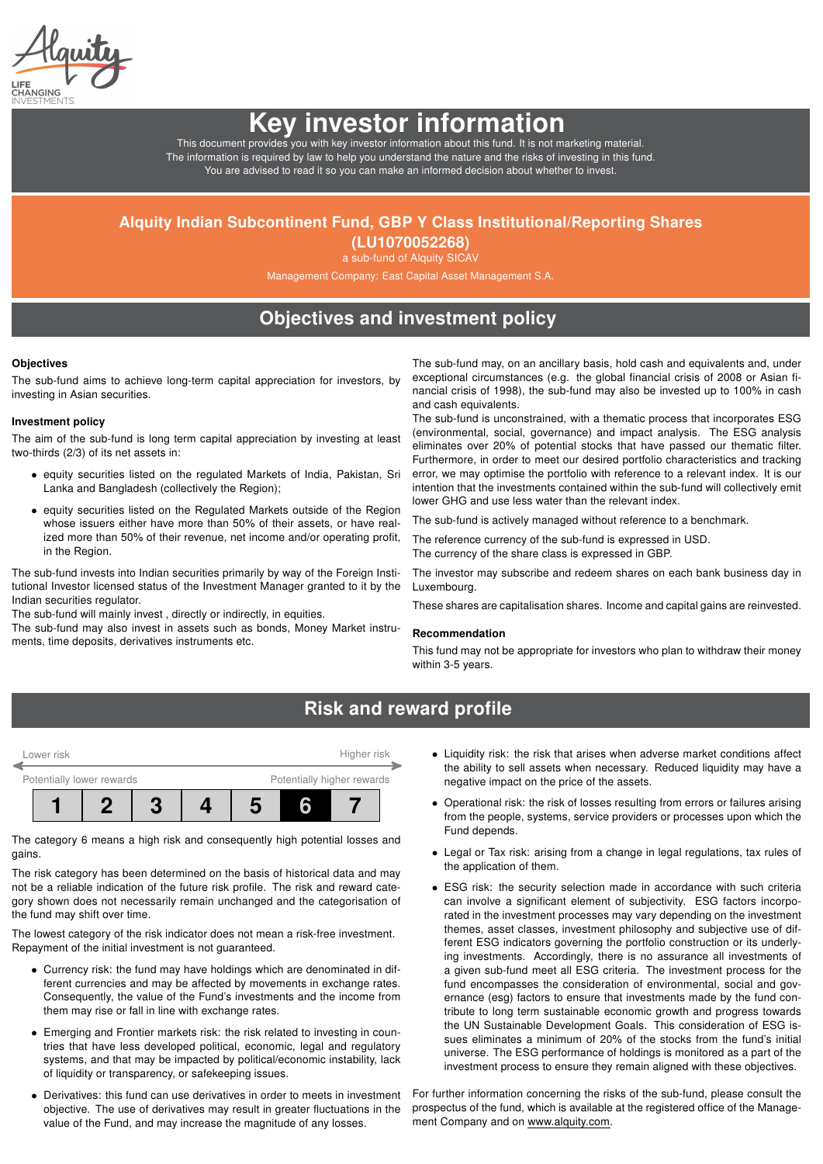# Key investor information

This document provides you with key investor information about this fund. It is not marketing material. The information is required by law to help you understand the nature and the risks of investing in this fund. You are advised to read it so you can make an informed decision about whether to invest.

## Alquity Indian Subcontinent Fund, GBP Y Class Institutional/Reporting Shares

(LU1070052268) a sub-fund of Alquity SICAV

Management Company: East Capital Asset Management S.A.

## Objectives and investment policy

#### **Objectives**

The sub-fund aims to achieve long-term capital appreciation for investors, by investing in Asian securities.

### Investment policy

The aim of the sub-fund is long term capital appreciation by investing at least two-thirds (2/3) of its net assets in:

- equity securities listed on the regulated Markets of India, Pakistan, Sri Lanka and Bangladesh (collectively the Region);
- equity securities listed on the Regulated Markets outside of the Region whose issuers either have more than 50% of their assets, or have realized more than 50% of their revenue, net income and/or operating profit, in the Region.

The sub-fund invests into Indian securities primarily by way of the Foreign Institutional Investor licensed status of the Investment Manager granted to it by the Indian securities regulator.

The sub-fund will mainly invest , directly or indirectly, in equities.

The sub-fund may also invest in assets such as bonds, Money Market instruments, time deposits, derivatives instruments etc.

The sub-fund may, on an ancillary basis, hold cash and equivalents and, under exceptional circumstances (e.g. the global financial crisis of 2008 or Asian financial crisis of 1998), the sub-fund may also be invested up to 100% in cash and cash equivalents.

The sub-fund is unconstrained, with a thematic process that incorporates ESG (environmental, social, governance) and impact analysis. The ESG analysis eliminates over 20% of potential stocks that have passed our thematic filter. Furthermore, in order to meet our desired portfolio characteristics and tracking error, we may optimise the portfolio with reference to a relevant index. It is our intention that the investments contained within the sub-fund will collectively emit lower GHG and use less water than the relevant index.

The sub-fund is actively managed without reference to a benchmark.

The reference currency of the sub-fund is expressed in USD. The currency of the share class is expressed in GBP.

The investor may subscribe and redeem shares on each bank business day in Luxembourg.

These shares are capitalisation shares. Income and capital gains are reinvested.

#### Recommendation

This fund may not be appropriate for investors who plan to withdraw their money within 3-5 years.

## Risk and reward profile

| Potentially lower rewards<br>Potentially higher rewards | Lower risk |  | Higher risk |  |  |  |  |  |
|---------------------------------------------------------|------------|--|-------------|--|--|--|--|--|
|                                                         |            |  |             |  |  |  |  |  |
|                                                         |            |  |             |  |  |  |  |  |

The category 6 means a high risk and consequently high potential losses and gains.

The risk category has been determined on the basis of historical data and may not be a reliable indication of the future risk profile. The risk and reward category shown does not necessarily remain unchanged and the categorisation of the fund may shift over time.

The lowest category of the risk indicator does not mean a risk-free investment. Repayment of the initial investment is not guaranteed.

- Currency risk: the fund may have holdings which are denominated in different currencies and may be affected by movements in exchange rates. Consequently, the value of the Fund's investments and the income from them may rise or fall in line with exchange rates.
- Emerging and Frontier markets risk: the risk related to investing in countries that have less developed political, economic, legal and regulatory systems, and that may be impacted by political/economic instability, lack of liquidity or transparency, or safekeeping issues.
- Derivatives: this fund can use derivatives in order to meets in investment objective. The use of derivatives may result in greater fluctuations in the value of the Fund, and may increase the magnitude of any losses.
- Liquidity risk: the risk that arises when adverse market conditions affect the ability to sell assets when necessary. Reduced liquidity may have a negative impact on the price of the assets.
- Operational risk: the risk of losses resulting from errors or failures arising from the people, systems, service providers or processes upon which the Fund depends.
- Legal or Tax risk: arising from a change in legal regulations, tax rules of the application of them.
- ESG risk: the security selection made in accordance with such criteria can involve a significant element of subjectivity. ESG factors incorporated in the investment processes may vary depending on the investment themes, asset classes, investment philosophy and subjective use of different ESG indicators governing the portfolio construction or its underlying investments. Accordingly, there is no assurance all investments of a given sub-fund meet all ESG criteria. The investment process for the fund encompasses the consideration of environmental, social and governance (esg) factors to ensure that investments made by the fund contribute to long term sustainable economic growth and progress towards the UN Sustainable Development Goals. This consideration of ESG issues eliminates a minimum of 20% of the stocks from the fund's initial universe. The ESG performance of holdings is monitored as a part of the investment process to ensure they remain aligned with these objectives.

For further information concerning the risks of the sub-fund, please consult the prospectus of the fund, which is available at the registered office of the Management Company and on [www.alquity.com.](http://www.alquity.com)